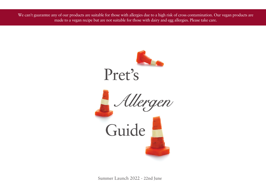We can't guarantee any of our products are suitable for those with allergies due to a high risk of cross contamination. Our vegan products are made to a vegan recipe but are not suitable for those with dairy and egg allergies. Please take care.



Summer Launch 2022 - 22nd June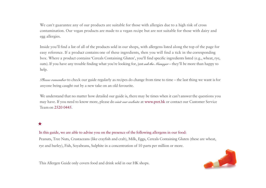We can't guarantee any of our products are suitable for those with allergies due to a high risk of cross contamination. Our vegan products are made to a vegan recipe but are not suitable for those with dairy and egg allergies.

Inside you'll find a list of all of the products sold in our shops, with allergens listed along the top of the page for easy reference. If a product contains one of these ingredients, then you will find a tick in the corresponding box. Where a product contains'Cereals Containing Gluten', you'll find specific ingredients listed (e.g., wheat, rye, oats). If you have any trouble finding what you're looking for, just *ask the Manager* – they'll be more than happy to help.

*Please remember* to check our guide regularly as recipes do change from time to time – the last thing we want is for anyone being caught out by a new take on an old favourite.

We understand that no matter how detailed our guide is, there may be times when it can't answer the questions you may have. If you need to know more, please do *visit our website* at www.pret.hk or contact our Customer Service Team on 2520 0445.

## $\bigstar$

In this guide, we are able to advise you on the presence of the following allergens in our food: Peanuts, Tree Nuts, Crustaceans (like crayfish and crab), Milk, Eggs, Cereals Containing Gluten (these are wheat, rye and barley), Fish, Soyabeans, Sulphite in a concentration of 10 parts per million or more.



This Allergen Guide only covers food and drink sold in our HK shops.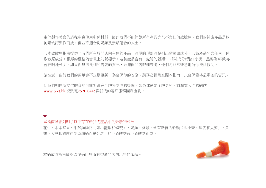由於製作美食的過程中會使用多種材料,因此我們不能保證所有產品完全不含任何致敏原。我們的純素產品是以 純素食譜製作而成,但並不適合對奶類及蛋類過敏的人士。

若本致敏原指南提供了我們所有於門店內有售的產品,清單的頂部清楚列出致敏原成分,若該產品包含任何一種 致敏原成分,相應的框格內會畫上勾號標示。若該產品含有'麩質的穀類',相關成分(例如:小麥、黑麥及燕麥)亦 會詳細地列明。如果你無法找到所需耍的資訊,歡迎向門店經理查詢,他們將非常樂意地為你提供協助。

請注意,由於我們的菜單會不定期更新,為確保你的安全,請務必經常查閱本指南,以確保獲得最準確的資訊。

此我們明白所提供的資訊可能無法完全解答到你的疑問,如果你需要了解更多,請瀏覽我們的網站 www.pret.hk 或致電2520 0445與我們的客戶服務團隊查詢。

## $\bigstar$

## 本指南詳細列明了以下存在於我們產品中的致敏物成分:

花生、木本堅果、甲殼類動物(如小龍蝦和螃蟹)、奶類、蛋類、含有麩質的穀類(即小麥,黑麥和大麥)、魚 類、大豆和濃度達到或超過百萬分之十的亞硫酸鹽或亞硫酸鹽組成。



本過敏原指南僅涵蓋並適用於所有香港門店內出售的產品。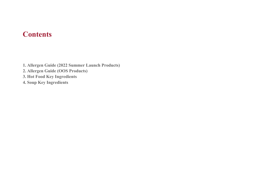## **Contents**

**1. Allergen Guide (2022 Summer Launch Products) 2. Allergen Guide (OOS Products) 3. Hot Food Key Ingredients 4. Soup Key Ingredients**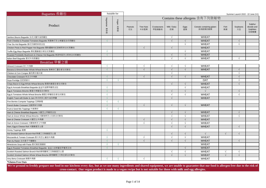| Baguettes 長麵包                                                   |                       | Suitable for         | Summer Launch 2022 - 22 June (V1) |                          |                      |                    |            |                                      |            |                |                                             |  |
|-----------------------------------------------------------------|-----------------------|----------------------|-----------------------------------|--------------------------|----------------------|--------------------|------------|--------------------------------------|------------|----------------|---------------------------------------------|--|
|                                                                 |                       |                      |                                   |                          |                      |                    |            | Contains these allergens 含有下列致敏物     |            |                |                                             |  |
| Product                                                         | Vegetarian<br>素食<br>咄 | Vegan<br>第<br>紫<br>哋 | Peanuts<br>花生                     | <b>Tree Nuts</b><br>木本堅果 | Crustaceans<br>甲殼類動物 | Milk / Dairy<br>奶類 | Eggs<br>蛋類 | Cereals containing gluten<br>含有麩質的穀類 | Fish<br>魚類 | Soybeans<br>大豆 | Sulphur<br>dioxide and<br>Sulphites<br>亞硫酸鹽 |  |
| Jambon Beurre Baquette 法式火腿牛油長麵包                                |                       |                      |                                   |                          |                      | $\sqrt{ }$         |            | <b>WHEAT</b>                         |            |                |                                             |  |
| Posh Cheddar & Roasted Tomatoes Baguette 英國車打芝士烤蕃茄法式長麵包         | $\sqrt{ }$            |                      |                                   |                          |                      | $\sqrt{ }$         | $\sqrt{ }$ | <b>WHEAT</b>                         |            | $\sqrt{ }$     |                                             |  |
| Char Siu Hot Baquette 港式叉燒即烘長法包                                 |                       |                      |                                   |                          |                      |                    | $\sqrt{ }$ | <b>WHEAT</b>                         |            | $\sqrt{ }$     |                                             |  |
| Chicken Pesto & Red Pepper Hot Baguette 羅勒醬雞肉紅甜椒即烘法式長麵包         |                       |                      |                                   | $\sqrt{ }$               |                      | $\sqrt{ }$         |            | <b>WHEAT</b>                         |            |                |                                             |  |
| Truffle Egg Mayo Baguette 黑松露雞蛋沙律法式長麵包                          | $\mathcal{N}$         |                      |                                   |                          |                      |                    | $\sqrt{ }$ | <b>WHEAT</b>                         |            |                |                                             |  |
| Roasted Portobello Mushroom & Cheese Hot Baguette 烤波特菇芝士即烘法式長麵包 | $\sqrt{ }$            |                      |                                   |                          |                      | $\sqrt{ }$         | $\sqrt{ }$ | <b>WHEAT</b>                         |            |                |                                             |  |
| Italian Beef Baguette 意式牛肉長麵包                                   |                       |                      |                                   |                          |                      | $\sqrt{ }$         | $\sqrt{ }$ | <b>WHEAT</b>                         |            | $\sqrt{ }$     |                                             |  |
| Breakfast 早餐之選                                                  |                       |                      |                                   |                          |                      |                    |            |                                      |            |                |                                             |  |
| Almond Croissant 杏仁牛角酥                                          |                       |                      |                                   | $\sqrt{2}$               |                      |                    |            | <b>WHEAT</b>                         |            |                |                                             |  |
| Banana & Almond Butter Whole Wheat Brioche 香蕉杏仁醬全麥法式軟包          | $\sqrt{ }$            |                      |                                   | $\sqrt{ }$               |                      | $\sqrt{ }$         | $\sqrt{ }$ | <b>WHEAT</b>                         |            | $\sqrt{ }$     |                                             |  |
| Chicken & Corn Congee 雞肉粟米糙米粥                                   |                       |                      |                                   |                          |                      | J                  |            |                                      |            |                |                                             |  |
| Chocolate Croissant 朱古力牛角酥                                      | $\sqrt{ }$            |                      |                                   | $\sqrt{ }$               |                      | $\sqrt{ }$         | $\sqrt{ }$ | <b>WHEAT</b>                         |            | $\sqrt{ }$     |                                             |  |
| Soya Porridge 豆奶燕麥片                                             | $\sqrt{ }$            | $\sqrt{ }$           |                                   |                          |                      |                    |            | OAT                                  |            | $\sqrt{ }$     |                                             |  |
| Crispy Bacon & Egg Whole Wheat Brioche 脆煙肉雞蛋全麥法式軟包              |                       |                      |                                   |                          |                      | $\sqrt{ }$         | $\sqrt{ }$ | <b>WHEAT</b>                         |            | $\sqrt{ }$     |                                             |  |
| Egg & Avocado Breakfast Baguette 雞蛋牛油果早餐長法包                     |                       |                      |                                   |                          |                      |                    | $\sqrt{ }$ | <b>WHEAT</b>                         |            |                |                                             |  |
| Egg & Tomatoes Brioche 雞蛋沙律蕃茄法式軟包                               | $\sqrt{ }$            |                      |                                   |                          |                      | $\sqrt{ }$         | $\sqrt{ }$ | $\sqrt{ }$                           |            | $\sqrt{ }$     |                                             |  |
| Egg & Tomatoes Whole Wheat Brioche 雞蛋沙律蕃茄全麥法式軟包                 | $\sqrt{ }$            |                      |                                   |                          |                      | $\sqrt{ }$         | $\sqrt{ }$ | <b>WHEAT</b>                         |            | $\sqrt{ }$     |                                             |  |
| English Toast with Butter & Jam 英式烘多士配牛油及果醬                     | $\sqrt{ }$            |                      |                                   |                          |                      | $\sqrt{}$          |            | <b>WHEAT</b>                         |            |                |                                             |  |
| Five Berries Compote Toppings 五果鮮莓                              | $\sim$                | $\sqrt{ }$           |                                   |                          |                      |                    |            |                                      |            |                |                                             |  |
| French Butter Croissant 法國原味牛角酥                                 | $\sqrt{ }$            |                      |                                   | $\sqrt{ }$               |                      | $\sqrt{ }$         | $\sqrt{ }$ | <b>WHEAT</b>                         |            |                |                                             |  |
| Fruit & Seed Mix Toppings 什錦果籽                                  | $\sqrt{ }$            | $\sqrt{ }$           |                                   |                          |                      |                    |            |                                      |            |                |                                             |  |
| Ham & Cheese Breakfast Baguette 火腿芝士早餐長法包                       |                       |                      |                                   |                          |                      | $\sqrt{ }$         | $\sqrt{ }$ | <b>WHEAT</b>                         |            |                |                                             |  |
| Ham & Greve Whole Wheat Brioche 火腿瑞典芝士全麥法式軟包                    |                       |                      |                                   |                          |                      | $\sqrt{ }$         | $\sqrt{ }$ | <b>WHEAT</b>                         |            | $\sqrt{ }$     |                                             |  |
| Ham & Cheese Croissant 火腿芝士牛角酥                                  |                       |                      |                                   | $\sqrt{ }$               |                      | $\sqrt{}$          | $\sqrt{ }$ | <b>WHEAT</b>                         |            |                |                                             |  |
| Ham & Greve Croissant 火腿瑞典芝士牛角酥                                 |                       |                      |                                   | $\sqrt{}$                |                      | $\sqrt{ }$         | $\sqrt{ }$ | <b>WHEAT</b>                         |            |                |                                             |  |
| Ham, Egg & Cheese Roll 火腿雞蛋芝士堡                                  |                       |                      |                                   |                          |                      | $\sqrt{}$          | $\sqrt{ }$ | <b>WHEAT</b>                         |            |                |                                             |  |
| Honey Toppings 蜜糖                                               | $\sqrt{ }$            |                      |                                   |                          |                      |                    |            |                                      |            |                |                                             |  |
| Hot Smoked Salmon Brunch Roll 熱燻三文魚雞蛋芝士堡                        |                       |                      |                                   |                          |                      | $\sqrt{ }$         | $\sqrt{ }$ | $\sqrt{ }$                           | $\sqrt{ }$ | $\sqrt{ }$     |                                             |  |
| Mozzarella & Tomato Croissant 意大利芝士蕃茄牛角酥                        | $\sqrt{ }$            |                      |                                   | $\sqrt{ }$               |                      | $\sqrt{ }$         | $\sqrt{ }$ | <b>WHEAT</b>                         |            |                |                                             |  |
| Pain Au Raisin 法式提子千層麵包                                         | $\sqrt{ }$            |                      |                                   | $\sqrt{ }$               |                      | $\sqrt{ }$         | $\sqrt{ }$ | <b>WHEAT</b>                         |            | $\sqrt{ }$     |                                             |  |
| Minestrone Soup with Pasta 意式雜菜湯通粉                              | $\sqrt{ }$            | $\sqrt{ }$           |                                   |                          |                      |                    |            | <b>WHEAT</b>                         |            |                |                                             |  |
| Egg & Roasted Tomatoes Breakfast Baguette 雞蛋沙律烤蕃茄早餐長法包          | $\sqrt{ }$            |                      |                                   |                          |                      |                    | $\sqrt{ }$ | <b>WHEAT</b>                         |            |                |                                             |  |
| Scottish Roasted Salmon Brunch Roll 蘇格蘭烤三文魚雞蛋芝士堡                |                       |                      |                                   |                          |                      | $\sqrt{ }$         | $\sqrt{ }$ | <b>WHEAT</b>                         | $\sqrt{ }$ | $\sqrt{ }$     |                                             |  |
| Scottish Smoked Salmon Whole Wheat Brioche 蘇格蘭煙三文魚全麥法式軟包        |                       |                      |                                   |                          |                      | $\sqrt{ }$         | $\sqrt{ }$ | <b>WHEAT</b>                         | $\sqrt{ }$ | $\sqrt{ }$     |                                             |  |
| Very Berry Croissant 雜莓牛角酥                                      |                       | $\sqrt{ }$           |                                   | $\sqrt{ }$               |                      |                    |            | <b>WHEAT</b>                         |            |                |                                             |  |
| *Gluten Free Oats                                               |                       |                      |                                   |                          |                      |                    |            |                                      |            |                |                                             |  |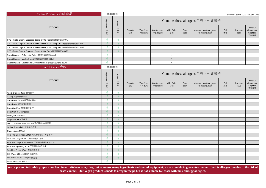| Coffee Products 咖啡產品                                                         |                | Suitable for        | Summer Launch 2022 -22 June (V1) |                          |                      |                    |            |                                      |            |                |                                             |  |  |  |
|------------------------------------------------------------------------------|----------------|---------------------|----------------------------------|--------------------------|----------------------|--------------------|------------|--------------------------------------|------------|----------------|---------------------------------------------|--|--|--|
|                                                                              | Vegetarian     | Vegan               |                                  |                          |                      |                    |            | Contains these allergens 含有下列致敏物     |            |                |                                             |  |  |  |
| Product                                                                      | 素食者            | 純素者                 | Peanuts<br>花生                    | <b>Tree Nuts</b><br>木本堅果 | Crustaceans<br>甲殼類動物 | Milk / Dairy<br>奶類 | Eggs<br>蛋類 | Cereals containing gluten<br>含有麩質的穀類 | Fish<br>魚類 | Soybeans<br>大豆 | Sulphur<br>dioxide and<br>Sulphites<br>亞硫酸鹽 |  |  |  |
| CPG - Pret's Organic Espresso Beans (200g) Pret's有機咖啡豆(200克)                 |                | $\sqrt{ }$          |                                  |                          |                      |                    |            |                                      |            |                |                                             |  |  |  |
| CPG - Pret's Organic Classic Blend Ground Coffee (200g) Pret's有機經典研磨咖啡(200克) | $\sqrt{ }$     | $\sqrt{ }$          |                                  |                          |                      |                    |            |                                      |            |                |                                             |  |  |  |
| CPG - Pret's Organic Classic Blend Ground Coffee (200g) Pret's有機秘魯研磨咖啡(200克) |                | $\sqrt{ }$          |                                  |                          |                      |                    |            |                                      |            |                |                                             |  |  |  |
| CPG - Pret's Organic Espresso Beans (450g) Pret's有機咖啡豆(450克)                 |                | $\sqrt{ }$          |                                  |                          |                      |                    |            |                                      |            |                |                                             |  |  |  |
| Daioni Organic - Caffe Latte Daioni 有機牛奶咖啡 330ml                             | $\mathcal{N}$  |                     |                                  |                          |                      | $\sqrt{ }$         |            |                                      |            |                |                                             |  |  |  |
| Daioni Organic - Mocha Daioni 有機朱古力咖啡 330ml                                  | $\sqrt{ }$     |                     |                                  |                          |                      | $\sqrt{ }$         |            |                                      |            |                |                                             |  |  |  |
| Daioni Organic - Double Shot Coffee Daioni 有機特濃牛奶咖啡 330ml                    |                |                     |                                  |                          |                      |                    |            |                                      |            |                |                                             |  |  |  |
| Cold Drinks 冷飲                                                               |                | Suitable for        |                                  |                          |                      |                    |            |                                      |            |                |                                             |  |  |  |
|                                                                              |                | Vegetarian<br>Vegan |                                  |                          |                      |                    |            | Contains these allergens 含有下列致敏物     |            |                |                                             |  |  |  |
| Product                                                                      | 純素者<br>素<br>食者 |                     | Peanuts<br>花生                    | <b>Tree Nuts</b><br>木本堅果 | Crustaceans<br>甲殼類動物 | Milk / Dairy<br>奶類 | Eggs<br>蛋類 | Cereals containing gluten<br>含有麩質的穀類 | Fish<br>魚類 | Soybeans<br>大豆 | Sulphur<br>dioxide and<br>Sulphites<br>亞硫酸鹽 |  |  |  |
| Apple & Ginger Juice 蘋果薑汁                                                    |                | $\sqrt{ }$          |                                  |                          |                      |                    |            |                                      |            |                |                                             |  |  |  |
| Cloudy Apple 鮮蘋果汁                                                            | $\sqrt{ }$     | $\sqrt{ }$          |                                  |                          |                      |                    |            |                                      |            |                |                                             |  |  |  |
| Coke Bottle Zero 無糖可樂(樽裝)                                                    |                |                     |                                  |                          |                      |                    |            |                                      |            |                |                                             |  |  |  |
| Coke Bottle 可口可樂(樽裝)                                                         | $\sqrt{ }$     | $\sqrt{ }$          |                                  |                          |                      |                    |            |                                      |            |                |                                             |  |  |  |
| Coke Can Zero 無糖可樂(罐裝)                                                       |                | $\sqrt{ }$          |                                  |                          |                      |                    |            |                                      |            |                |                                             |  |  |  |
| Coke Can 可口可樂(罐裝)                                                            |                |                     |                                  |                          |                      |                    |            |                                      |            |                |                                             |  |  |  |
| Flu Fighter 流感戰士                                                             | $\sqrt{ }$     | $\sqrt{ }$          |                                  |                          |                      |                    |            |                                      |            |                |                                             |  |  |  |
| Grapefruit Juice 西柚汁                                                         |                | $\sqrt{ }$          |                                  |                          |                      |                    |            |                                      |            |                |                                             |  |  |  |
| Lemon & Ginger Pure Pret Still 天然礦泉水-檸檬薑                                     |                | $\sqrt{ }$          |                                  |                          |                      |                    |            |                                      |            |                |                                             |  |  |  |
| Lychee & Mandarin 鮮荔枝柑桔汁                                                     |                | $\sqrt{ }$          |                                  |                          |                      |                    |            |                                      |            |                |                                             |  |  |  |
| Orange Juice 鮮橙汁                                                             | $\sqrt{ }$     | $\sqrt{ }$          |                                  |                          |                      |                    |            |                                      |            |                |                                             |  |  |  |
| Pure Pret Cucumber & Mint 天然果味梳打- 青瓜薄荷                                       |                | $\sqrt{ }$          |                                  |                          |                      |                    |            |                                      |            |                |                                             |  |  |  |
| Pure Pret Ginger Beer 天然果味梳打-薑味                                              |                | $\sqrt{ }$          |                                  |                          |                      |                    |            |                                      |            |                |                                             |  |  |  |
| Pure Pret Grape & Elderflower 天然果味梳打-葡萄桂花                                    |                | $\sqrt{ }$          |                                  |                          |                      |                    |            |                                      |            |                |                                             |  |  |  |
| Pure Pret Sparkling Apple 天然果味梳打-蘋果                                          |                | $\sqrt{ }$          |                                  |                          |                      |                    |            |                                      |            |                |                                             |  |  |  |
| Sparkling Spring Water 有氣純礦泉水                                                |                | $\sqrt{ }$          |                                  |                          |                      |                    |            |                                      |            |                |                                             |  |  |  |
| Still Water 500ml 500毫升純礦泉水                                                  |                | $\sqrt{ }$          |                                  |                          |                      |                    |            |                                      |            |                |                                             |  |  |  |
| Still Water 750ml 750毫升純礦泉水                                                  |                | $\sqrt{ }$          |                                  |                          |                      |                    |            |                                      |            |                |                                             |  |  |  |
| Vitamin Volcano 鮮莓果汁                                                         |                |                     |                                  |                          |                      |                    |            |                                      |            |                |                                             |  |  |  |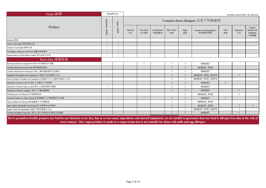| Fruits 鮮果                                          |            | Suitable for | Summer Launch 2022 -22 June (V1) |                          |                      |                    |            |                                      |            |                |                                             |
|----------------------------------------------------|------------|--------------|----------------------------------|--------------------------|----------------------|--------------------|------------|--------------------------------------|------------|----------------|---------------------------------------------|
|                                                    | Vegetarian | Vegan        |                                  |                          |                      |                    |            | Contains these allergens 含有下列致敏物     |            |                |                                             |
| Product                                            | 素<br>製型    | 笃<br>素<br>咄  | Peanuts<br>花生                    | <b>Tree Nuts</b><br>木本堅果 | Crustaceans<br>甲殼類動物 | Milk / Dairy<br>奶類 | Eggs<br>蛋類 | Cereals containing gluten<br>含有麩質的穀類 | Fish<br>魚類 | Soybeans<br>大豆 | Sulphur<br>dioxide and<br>Sulphites<br>亞硫酸鹽 |
| Banana 香蕉                                          |            |              |                                  |                          |                      |                    |            |                                      |            |                |                                             |
| Citrus Fruit Salad 香橙西柚沙律                          |            |              |                                  |                          |                      |                    |            |                                      |            |                |                                             |
| Classic Fruit Salad 鮮果沙律                           |            |              |                                  |                          |                      |                    |            |                                      |            |                |                                             |
| Pineapple, Mango & Lime Pot 菠蘿芒果青檸杯                |            |              |                                  |                          |                      |                    |            |                                      |            |                |                                             |
| Watermelon & Hami Melon Salad 西瓜哈密瓜沙律              |            |              |                                  |                          |                      |                    |            |                                      |            |                |                                             |
| Pret's Hot 烤焗熱食                                    |            |              |                                  |                          |                      |                    |            |                                      |            |                |                                             |
| Beef and Onion Croissant 英式烤牛肉洋蔥即烘牛角酥              |            |              |                                  |                          |                      |                    |            | <b>WHEAT</b>                         |            |                |                                             |
| Chicken Mushroom Hot Wrap 雞肉蘑菇熱烤卷                  |            |              |                                  |                          |                      |                    |            | WHEAT, RYE                           |            |                |                                             |
| Chicken Mushroom Pasta Box 焗芝士雞肉蘑菇椰菜花長通粉           |            |              |                                  |                          |                      |                    |            | <b>WHEAT</b>                         |            |                |                                             |
| Eggplant Parmigiana Hot Sandwich 千層茄子即烘香脆三文治       |            |              |                                  |                          |                      |                    |            | WHEAT, RYE, OATS                     |            | $\sqrt{ }$     |                                             |
| Ham & British Cheddar Hot Sandwich 英國車打芝士火腿即烘香脆三文治 |            |              |                                  |                          |                      |                    |            | WHEAT, RYE, OATS                     |            |                |                                             |
| Macaroni Cheese Fish Pie 焗芝士甘藍菜三文魚通粉               |            |              |                                  |                          |                      |                    |            | <b>WHEAT</b>                         | $\sqrt{ }$ |                |                                             |
| Macaroni Cheese Kale & Cauli 焗芝士甘藍菜椰菜花通粉           |            |              |                                  |                          |                      |                    |            | <b>WHEAT</b>                         |            |                |                                             |
| Macaroni Cheese Lasagna 焗芝士千層肉醬通粉                  |            |              |                                  |                          |                      |                    |            | <b>WHEAT</b>                         |            | $\sqrt{ }$     |                                             |
| Peking Duck Hot Wrap 京式烤鴨熱烤卷                       |            |              |                                  |                          |                      |                    |            | WHEAT, RYE                           |            | $\sqrt{ }$     |                                             |
| Roasted Salmon & Egg Croissant 蘇格蘭烤三文魚雞蛋即烘牛角酥      |            |              |                                  |                          |                      |                    |            | <b>WHEAT</b>                         | $\sqrt{ }$ |                |                                             |
| Spicy Falafel Hot Wrap 辣味甜薯素丸子烤薄餅卷                 |            |              |                                  |                          |                      |                    |            | WHEAT, RYE                           |            |                |                                             |
| Spicy Italian Meatballs Hot Wrap 意大利香辣肉丸熱烤卷        |            |              |                                  |                          |                      |                    |            | WHEAT, RYE                           |            |                | $\sqrt{}$                                   |
| Super Club Hot Sandwich 特級公司即烘香脆三文治                |            |              |                                  |                          |                      |                    |            | WHEAT, RYE, OATS                     |            |                |                                             |
| Tomato Meatball Pasta Box 焗芝士意大利香辣肉丸椰菜花長通粉         |            |              |                                  |                          |                      |                    |            | <b>WHEAT</b>                         |            |                |                                             |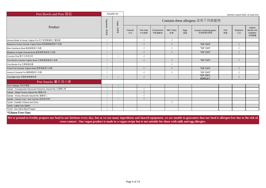| Pret Bowls and Pots 甜品                                     |            | Suitable for | Summer Launch 2022 -22 June (V1) |                          |                      |                    |            |                                      |            |                |                                             |  |  |  |
|------------------------------------------------------------|------------|--------------|----------------------------------|--------------------------|----------------------|--------------------|------------|--------------------------------------|------------|----------------|---------------------------------------------|--|--|--|
|                                                            | Vegetarian | Vegan        |                                  |                          |                      |                    |            | Contains these allergens 含有下列致敏物     |            |                |                                             |  |  |  |
| Product                                                    | 食者         | 純素者          | Peanuts<br>花生                    | <b>Tree Nuts</b><br>木本堅果 | Crustaceans<br>甲殼類動物 | Milk / Dairy<br>奶類 | Eggs<br>蛋類 | Cereals containing gluten<br>含有麩質的穀類 | Fish<br>魚類 | Soybeans<br>大豆 | Sulphur<br>dioxide and<br>Sulphites<br>亞硫酸鹽 |  |  |  |
| Almond Butter & Honey Yoghurt Pot 杞子乾果蜜糖杏仁醬乳酪              |            |              |                                  | $\sqrt{ }$               |                      |                    |            |                                      |            |                |                                             |  |  |  |
| Banana & Honey Granola Yoghurt Bowl 香蕉蜜糖香脆麥片乳酪             |            |              |                                  |                          |                      |                    |            | *GF OAT                              |            | $\sqrt{ }$     |                                             |  |  |  |
| Blue Goodness Bowl 藍藻香脆麥片乳酪                                |            |              |                                  | $\mathcal{L}$            |                      |                    |            | *GF OAT                              |            |                |                                             |  |  |  |
| Blueberry & Apple Granola Bowl 藍莓蘋果香脆麥片乳酪                  |            |              |                                  |                          |                      | $\sqrt{ }$         |            | *GF OAT                              |            | V              |                                             |  |  |  |
| Coconut Chia 椰子米奶奇亞籽                                       |            |              |                                  |                          |                      |                    |            |                                      |            |                |                                             |  |  |  |
| Five Berries Granola Yoghurt Bowl 五果鮮莓香脆麥片乳酪               |            |              |                                  |                          |                      | $\sqrt{ }$         |            | *GF OAT                              |            | $\sqrt{ }$     |                                             |  |  |  |
| Five Berries Pot 五果鮮莓乳酪                                    |            |              |                                  |                          |                      |                    |            |                                      |            |                |                                             |  |  |  |
| Fresh Fruit Granola Yoghurt Bowl 鮮果香脆麥片乳酪                  |            |              |                                  |                          |                      |                    |            | *GF OAT                              |            | V              |                                             |  |  |  |
| Honey & Granola Pot 蜜糖香脆麥片乳酪                               |            |              |                                  |                          |                      |                    |            | *GF OAT                              |            |                |                                             |  |  |  |
| Overnight Oats 特製乾果營養燕麥                                    |            |              |                                  | $\sqrt{ }$               |                      |                    |            | *GF OAT,<br><b>BARLEY</b>            |            | V              |                                             |  |  |  |
| Pret Snacks 薯片及小食                                          |            |              |                                  |                          |                      |                    |            |                                      |            |                |                                             |  |  |  |
| Pret A Mango 天然芒果乾                                         |            |              |                                  |                          |                      |                    |            |                                      |            |                |                                             |  |  |  |
| Sahale - Pomegranate Flavoured Pistachios Glazed Mix 石榴開心果 |            |              |                                  |                          |                      |                    |            |                                      |            |                |                                             |  |  |  |
| Sahale - Maple Pecans Glazed Mix 楓糖合桃                      |            |              |                                  |                          |                      |                    |            |                                      |            |                |                                             |  |  |  |
| Sahale - Honey Almonds Glazed Mix 蜜糖杏仁                     |            |              |                                  |                          |                      |                    |            |                                      |            |                |                                             |  |  |  |
| Sahale - Classic Fruit + Nut Trail Mix 經典混合果仁              |            | $\sim$       |                                  |                          |                      |                    |            |                                      |            |                |                                             |  |  |  |
| Tyrrell - Chedder Cheese and Chive                         |            |              |                                  |                          |                      |                    |            |                                      |            |                |                                             |  |  |  |
| Tyrrell - Lightly Sea Salted                               |            |              |                                  |                          |                      |                    |            |                                      |            |                |                                             |  |  |  |
| Tyrrell - Sea Salt & Black Pepper                          |            |              |                                  |                          |                      |                    |            |                                      |            |                |                                             |  |  |  |
| $*$ Cluton Euro Ooto                                       |            |              |                                  |                          |                      |                    |            |                                      |            |                |                                             |  |  |  |

**\*Gluten Free Oats**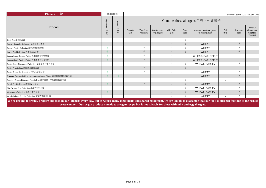| Platters 拼盤                                                                                                                                                                                                                                                                                                                    |           | Suitable for | Summer Launch 2022 -22 June (V1) |                          |                      |                    |            |                                      |            |                |                                             |
|--------------------------------------------------------------------------------------------------------------------------------------------------------------------------------------------------------------------------------------------------------------------------------------------------------------------------------|-----------|--------------|----------------------------------|--------------------------|----------------------|--------------------|------------|--------------------------------------|------------|----------------|---------------------------------------------|
|                                                                                                                                                                                                                                                                                                                                | Vegetaria | Vegan        |                                  |                          |                      |                    |            | Contains these allergens 含有下列致敏物     |            |                |                                             |
| Product                                                                                                                                                                                                                                                                                                                        | ∍<br>阿雀   | 純素<br>业      | Peanuts<br>花生                    | <b>Tree Nuts</b><br>木本堅果 | Crustaceans<br>甲殼類動物 | Milk / Dairy<br>奶類 | Eggs<br>蛋類 | Cereals containing gluten<br>含有麩質的穀類 | Fish<br>魚類 | Soybeans<br>大豆 | Sulphur<br>dioxide and<br>Sulphites<br>亞硫酸鹽 |
| Club Salad 公司沙律                                                                                                                                                                                                                                                                                                                |           |              |                                  |                          |                      |                    |            |                                      |            |                |                                             |
| French Baguette Selection 法式長麵包拼盤                                                                                                                                                                                                                                                                                              |           |              |                                  |                          |                      |                    |            | <b>WHEAT</b>                         |            |                |                                             |
| French Pastry Selection 精選法式酥點拼盤                                                                                                                                                                                                                                                                                               |           |              |                                  | $\sqrt{ }$               |                      |                    |            | <b>WHEAT</b>                         |            |                |                                             |
| Large Cookie Platter 曲奇餅(大)拼盤                                                                                                                                                                                                                                                                                                  |           |              |                                  |                          |                      |                    |            | <b>WHEAT</b>                         |            |                |                                             |
| Luxury Large Cookie Platter 至尊曲奇餅(大)拼盤                                                                                                                                                                                                                                                                                         |           |              |                                  |                          |                      |                    |            | WHEAT, OAT, SPELT                    |            |                |                                             |
| Luxury Small Cookie Platter 至尊曲奇餅(小)拼盤                                                                                                                                                                                                                                                                                         |           |              |                                  |                          |                      |                    |            | WHEAT, OAT, SPELT                    |            |                |                                             |
| Pret's Best of Seasonal Selection 精選季節三文治拼盤                                                                                                                                                                                                                                                                                    |           |              |                                  |                          |                      |                    |            | WHEAT, BARLEY                        |            | $\sim$         |                                             |
| Pret's Protein Box 雞肉雞蛋營養沙律                                                                                                                                                                                                                                                                                                    |           |              |                                  |                          |                      |                    |            |                                      |            |                |                                             |
| Pret's Snack Bar Selection 特色小麥棒拼盤                                                                                                                                                                                                                                                                                             |           |              |                                  | $\sqrt{}$                |                      |                    |            | <b>WHEAT</b>                         |            |                |                                             |
| Roasted Portobello Mushroom Vegan Salad Platter 烤波特菇甜薯純素沙律                                                                                                                                                                                                                                                                     |           |              |                                  |                          |                      |                    |            | <b>WHEAT</b>                         |            |                |                                             |
| Scottish Smoked Salmon Protein Box 蘇格蘭煙三文魚雞蛋營養沙律                                                                                                                                                                                                                                                                               |           |              |                                  |                          |                      |                    |            |                                      | $\sqrt{ }$ |                |                                             |
| Small Cookie Platter 曲奇餅(小)拼盤                                                                                                                                                                                                                                                                                                  |           |              |                                  |                          |                      |                    |            | <b>WHEAT</b>                         |            |                |                                             |
| The Best of Pret Selection 經典三文治拼盤                                                                                                                                                                                                                                                                                             |           |              |                                  |                          |                      |                    |            | WHEAT, BARLEY                        |            |                |                                             |
| Vegeterian Selection 素食三文治拼盤                                                                                                                                                                                                                                                                                                   |           |              |                                  |                          |                      |                    |            | WHEAT, BARLEY                        |            |                |                                             |
| Whole Wheat Brioche Selection 全麥法式軟包拼盤                                                                                                                                                                                                                                                                                         |           |              |                                  |                          |                      |                    |            | <b>WHEAT</b>                         |            |                |                                             |
| We're pround to freshly prepare our food in our kitchens every day, but as we use many ingredients and shared equipment, we are unable to guarantee that our food is allergen free due to the risk of<br>cross-contact. Our vegan product is made to a vegan recipe but is not suitable for those with milk and egg allergies. |           |              |                                  |                          |                      |                    |            |                                      |            |                |                                             |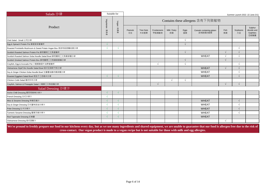| Salads 沙律                                                                                                                                                                                                                                                                                                                      |             | Suitable for | Summer Launch 2022 -22 June (V1) |                          |                      |                    |            |                                      |            |                |                                             |
|--------------------------------------------------------------------------------------------------------------------------------------------------------------------------------------------------------------------------------------------------------------------------------------------------------------------------------|-------------|--------------|----------------------------------|--------------------------|----------------------|--------------------|------------|--------------------------------------|------------|----------------|---------------------------------------------|
|                                                                                                                                                                                                                                                                                                                                | Vegetarian  | Vegan        |                                  |                          |                      |                    |            | Contains these allergens 含有下列致敏物     |            |                |                                             |
| Product                                                                                                                                                                                                                                                                                                                        | 素<br>减<br>™ | 純素者          | Peanuts<br>花生                    | <b>Tree Nuts</b><br>木本堅果 | Crustaceans<br>甲殼類動物 | Milk / Dairy<br>奶類 | Eggs<br>蛋類 | Cereals containing gluten<br>含有麩質的穀類 | Fish<br>魚類 | Soybeans<br>大豆 | Sulphur<br>dioxide and<br>Sulphites<br>亞硫酸鹽 |
| Club Salad - Small 公司沙律                                                                                                                                                                                                                                                                                                        |             |              |                                  |                          |                      |                    | $\sqrt{ }$ |                                      |            |                |                                             |
| Egg & Spinach Protein Pot 雞蛋菠菜營養杯                                                                                                                                                                                                                                                                                              |             |              |                                  |                          |                      |                    | $\sqrt{ }$ |                                      |            |                |                                             |
| Roasted Portobello Mushroom & Sweet Potato Vegan Box 烤波特菇甜薯純素沙律                                                                                                                                                                                                                                                                |             | $\sqrt{ }$   |                                  |                          |                      |                    |            |                                      |            |                |                                             |
| Scottish Roasted Salmon Protein Pot 蘇格蘭烤三文魚營養杯                                                                                                                                                                                                                                                                                 |             |              |                                  |                          |                      |                    | $\sqrt{ }$ |                                      |            |                |                                             |
| Scottish Roasted Salmon Soba Noodle Salad Bowl 蘇格蘭烤三文魚蕎麥麵沙律                                                                                                                                                                                                                                                                    |             |              |                                  |                          |                      |                    |            | <b>WHEAT</b>                         |            |                |                                             |
| Scottish Smoked Salmon Protein Box 蘇格蘭煙三文魚雞蛋營養沙律                                                                                                                                                                                                                                                                               |             |              |                                  |                          |                      |                    | $\sqrt{ }$ |                                      |            |                |                                             |
| Crayfish, Egg & Avocado Pot 小龍蝦雞蛋牛油果營養杯                                                                                                                                                                                                                                                                                        |             |              |                                  |                          |                      |                    | $\sqrt{ }$ |                                      |            |                |                                             |
| Vietnamese StyleTofu Noodle Salad Bowl 越式豆腐新竹粉沙律                                                                                                                                                                                                                                                                               |             |              |                                  |                          |                      |                    |            | <b>WHEAT</b>                         |            |                |                                             |
| Soy & Ginger Chicken Soba Noodle Bowl 生薑醬油雞肉蕎麥麵沙律                                                                                                                                                                                                                                                                              |             |              |                                  |                          |                      |                    |            | <b>WHEAT</b>                         |            |                |                                             |
| Roasted Eggplant Salad Bowl 烤茄子三色糙米沙律                                                                                                                                                                                                                                                                                          |             | $\sqrt{ }$   |                                  |                          |                      |                    |            | <b>WHEAT</b>                         |            |                |                                             |
| Chicken Cobb Salad 雞肉科布沙律                                                                                                                                                                                                                                                                                                      |             |              |                                  |                          |                      | $\sqrt{ }$         | $\sqrt{ }$ |                                      |            |                |                                             |
| Crayfish, Salmon & Pineapple Salad 小龍蝦三文魚菠蘿沙律                                                                                                                                                                                                                                                                                  |             |              |                                  |                          |                      |                    |            |                                      |            | $\sqrt{ }$     |                                             |
| Salad Dressing 沙律汁                                                                                                                                                                                                                                                                                                             |             |              |                                  |                          |                      |                    |            |                                      |            |                |                                             |
| Ancho Chilli Dressing 墨西哥香辣沙律汁                                                                                                                                                                                                                                                                                                 |             | $\sqrt{ }$   |                                  |                          |                      |                    |            |                                      |            |                |                                             |
| French Dressing 法式沙律汁                                                                                                                                                                                                                                                                                                          |             |              |                                  |                          |                      |                    |            |                                      |            |                |                                             |
| Miso & Sesame Dressing 味噌芝麻汁                                                                                                                                                                                                                                                                                                   |             | $\sqrt{}$    |                                  |                          |                      |                    |            | <b>WHEAT</b>                         |            |                |                                             |
| Soy & Ginger Dressing 日式薑味豉油沙律汁                                                                                                                                                                                                                                                                                                |             |              |                                  |                          |                      |                    |            | <b>WHEAT</b>                         |            |                |                                             |
| Poke Dressing 比卡沙律汁                                                                                                                                                                                                                                                                                                            |             | $\sqrt{ }$   |                                  |                          |                      |                    |            | <b>WHEAT</b>                         |            |                |                                             |
| Turmeric Sesame Dressing 薑黃芝麻沙律汁                                                                                                                                                                                                                                                                                               |             |              |                                  |                          |                      |                    |            | <b>WHEAT</b>                         |            |                |                                             |
| Red Tapenade Dressing 紅椒醬                                                                                                                                                                                                                                                                                                      |             | $\sqrt{ }$   |                                  |                          |                      |                    |            | <b>WHEAT</b>                         |            |                |                                             |
| Vietnamese Dressing 越式甜酸汁                                                                                                                                                                                                                                                                                                      |             |              |                                  |                          |                      |                    |            |                                      |            |                |                                             |
| We're pround to freshly prepare our food in our kitchens every day, but as we use many ingredients and shared equipment, we are unable to guarantee that our food is allergen free due to the risk of<br>cross-contact. Our vegan product is made to a vegan recipe but is not suitable for those with milk and egg allergies. |             |              |                                  |                          |                      |                    |            |                                      |            |                |                                             |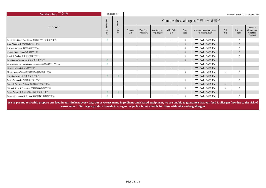| Sandwiches $\equiv$ 文治                                                                                                                                                                                |           | Suitable for | Summer Launch 2022 -22 June (V1) |                          |                      |                    |            |                                      |            |                |                                             |  |
|-------------------------------------------------------------------------------------------------------------------------------------------------------------------------------------------------------|-----------|--------------|----------------------------------|--------------------------|----------------------|--------------------|------------|--------------------------------------|------------|----------------|---------------------------------------------|--|
|                                                                                                                                                                                                       | Vegetaria | Vegan        |                                  |                          |                      |                    |            | Contains these allergens 含有下列致敏物     |            |                |                                             |  |
| Product                                                                                                                                                                                               | Б<br>mÙ   | 純素<br>™      | Peanuts<br>花生                    | <b>Tree Nuts</b><br>木本堅果 | Crustaceans<br>甲殼類動物 | Milk / Dairy<br>奶類 | Eggs<br>蛋類 | Cereals containing gluten<br>含有麩質的穀類 | Fish<br>魚類 | Soybeans<br>大豆 | Sulphur<br>dioxide and<br>Sulphites<br>亞硫酸鹽 |  |
| British Cheddar & Pret Pickle 英國車打芝士酸果醬三文治                                                                                                                                                            |           |              |                                  |                          |                      |                    |            | <b>WHEAT, BARLEY</b>                 |            |                |                                             |  |
| Char Siu-ndwish 港式銷魂叉燒三文治                                                                                                                                                                             |           |              |                                  |                          |                      |                    |            | WHEAT, BARLEY                        |            |                |                                             |  |
| Chicken Avocado 雞肉牛油果三文治                                                                                                                                                                              |           |              |                                  |                          |                      |                    |            | <b>WHEAT, BARLEY</b>                 |            |                |                                             |  |
| Classic Super Club 特級公司三文治                                                                                                                                                                            |           |              |                                  |                          |                      |                    |            | <b>WHEAT, BARLEY</b>                 |            |                |                                             |  |
| Crayfish Rocket 小龍蝦火箭菜三文治                                                                                                                                                                             |           |              |                                  |                          |                      |                    |            | WHEAT, BARLEY                        |            |                |                                             |  |
| Egg Mayo & Tomatoes 蕃茄雞蛋沙律三文治                                                                                                                                                                         |           |              |                                  |                          |                      |                    | $\sqrt{ }$ | WHEAT, BARLEY                        |            |                |                                             |  |
| Kids British Cheddar & Butter Sandwich 英國車打芝士三文治                                                                                                                                                      |           |              |                                  |                          |                      |                    |            | <b>WHEAT, BARLEY</b>                 |            |                |                                             |  |
| Kids Ham Sandwich 火腿三文治                                                                                                                                                                               |           |              |                                  |                          |                      |                    |            | <b>WHEAT, BARLEY</b>                 |            |                |                                             |  |
| Mediterranean Tuna 地中海風味吞拿魚沙律三文治                                                                                                                                                                      |           |              |                                  |                          |                      |                    |            | <b>WHEAT, BARLEY</b>                 |            |                |                                             |  |
| Naked Avocado 牛油果烤蕃茄三文治                                                                                                                                                                               |           |              |                                  |                          |                      |                    |            | WHEAT, BARLEY                        |            |                |                                             |  |
| Pret's Famous BLT 脆味煙生蕃三文治                                                                                                                                                                            |           |              |                                  |                          |                      |                    | $\sqrt{ }$ | <b>WHEAT, BARLEY</b>                 |            |                |                                             |  |
| Scoittish Smoked Salmon 蘇格蘭煙三文魚三文治                                                                                                                                                                    |           |              |                                  |                          |                      |                    |            | <b>WHEAT, BARLEY</b>                 |            |                |                                             |  |
| Skipjack Tuna & Cucumber 正鰹吞拿魚沙律三文治                                                                                                                                                                   |           |              |                                  |                          |                      |                    |            | WHEAT, BARLEY                        |            |                |                                             |  |
| Super Greens & Reds 純素牛油果紅甜椒三文治                                                                                                                                                                       |           | $\sqrt{ }$   |                                  |                          |                      |                    |            | WHEAT, BARLEY                        |            |                |                                             |  |
| Portobello, Lettuce & Tomato 烤波特菇生菜蕃茄三文治                                                                                                                                                              |           |              |                                  |                          |                      |                    |            | WHEAT, BARLEY                        |            |                |                                             |  |
| We're pround to freehly prepare our food in our kitchens every day, but as we use many incredients and shared equipment, we are unable to guarantee that our food is allergen free due to the rick of |           |              |                                  |                          |                      |                    |            |                                      |            |                |                                             |  |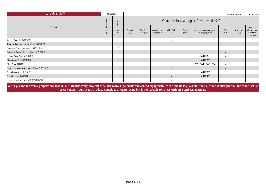| Soups 窩心濃湯                                                                                                                                                                                                                                                                                                                     |               | Suitable for | Summer Launch 2022 -20 June (V1) |                          |                      |                    |            |                                      |            |                |                                             |  |  |  |
|--------------------------------------------------------------------------------------------------------------------------------------------------------------------------------------------------------------------------------------------------------------------------------------------------------------------------------|---------------|--------------|----------------------------------|--------------------------|----------------------|--------------------|------------|--------------------------------------|------------|----------------|---------------------------------------------|--|--|--|
|                                                                                                                                                                                                                                                                                                                                | Vegetarian    | Vegan        | Contains these allergens 含有下列致敏物 |                          |                      |                    |            |                                      |            |                |                                             |  |  |  |
| Product                                                                                                                                                                                                                                                                                                                        | 恍<br>测<br>INH | 第<br>糇<br>咄  | Peanuts<br>花生                    | <b>Tree Nuts</b><br>木本堅果 | Crustaceans<br>甲殼類動物 | Milk / Dairy<br>奶類 | Eggs<br>蛋類 | Cereals containing gluten<br>含有麩質的穀類 | Fish<br>魚類 | Soybeans<br>大豆 | Sulphur<br>dioxide and<br>Sulphites<br>亞硫酸鹽 |  |  |  |
| Classic Pumpkin 鮮南瓜湯                                                                                                                                                                                                                                                                                                           |               |              |                                  |                          |                      | $\sim$             |            |                                      |            |                |                                             |  |  |  |
| Creamy Cauliflower & Ham 椰菜花甜薯火腿湯                                                                                                                                                                                                                                                                                              |               |              |                                  |                          |                      |                    |            |                                      |            |                |                                             |  |  |  |
| Japanese Style Sweetcorn 日式粟米濃湯                                                                                                                                                                                                                                                                                                |               |              |                                  |                          |                      |                    |            |                                      |            |                |                                             |  |  |  |
| Japanese Tonjiru Soup 日式豚汁豬肉味噌湯                                                                                                                                                                                                                                                                                                |               |              |                                  |                          |                      |                    |            |                                      |            |                |                                             |  |  |  |
| Korean Style Beef 韓式牛肉湯                                                                                                                                                                                                                                                                                                        |               |              |                                  |                          |                      |                    |            | <b>WHEAT</b>                         |            |                |                                             |  |  |  |
| Minestrone 意大利蔬菜濃湯                                                                                                                                                                                                                                                                                                             |               |              |                                  |                          |                      |                    |            | <b>WHEAT</b>                         |            |                |                                             |  |  |  |
| Miso Soup 味噌湯                                                                                                                                                                                                                                                                                                                  |               |              |                                  |                          |                      |                    |            | WHEAT, BARLEY                        |            |                |                                             |  |  |  |
| New England Clam Chowder 新英倫周打蜆肉湯                                                                                                                                                                                                                                                                                              |               |              |                                  |                          |                      |                    |            |                                      |            |                |                                             |  |  |  |
| Soup Baguette 伴湯長麵包                                                                                                                                                                                                                                                                                                            |               |              |                                  |                          |                      |                    |            | <b>WHEAT</b>                         |            |                |                                             |  |  |  |
| Soup Bloomer 伴湯麵包                                                                                                                                                                                                                                                                                                              |               |              |                                  |                          |                      |                    |            | <b>WHEAT</b>                         |            |                |                                             |  |  |  |
| Spiced Spinach & Potato 香草菠菜薯仔湯                                                                                                                                                                                                                                                                                                |               |              |                                  |                          |                      | $\sim$             |            |                                      |            |                |                                             |  |  |  |
| We're pround to freshly prepare our food in our kitchens every day, but as we use many ingredients and shared equipment, we are unable to guarantee that our food is allergen free due to the risk of<br>cross-contact. Our vegan product is made to a vegan recipe but is not suitable for those with milk and egg allergies. |               |              |                                  |                          |                      |                    |            |                                      |            |                |                                             |  |  |  |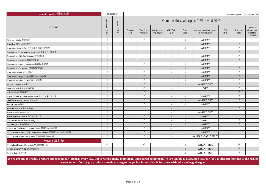| Sweet Treats 麵包糕點                                                                                                                                                                                     |                          | Suitable for | Summer Launch 2022 -22 June (V1) |                          |                      |                    |            |                                      |            |                |                                             |  |
|-------------------------------------------------------------------------------------------------------------------------------------------------------------------------------------------------------|--------------------------|--------------|----------------------------------|--------------------------|----------------------|--------------------|------------|--------------------------------------|------------|----------------|---------------------------------------------|--|
|                                                                                                                                                                                                       | Vegetarian               | Vegan        |                                  |                          |                      |                    |            | Contains these allergens 含有下列致敏物     |            |                |                                             |  |
| Product                                                                                                                                                                                               | 素食者                      | 淇<br>素者      | Peanuts<br>花生                    | <b>Tree Nuts</b><br>木本堅果 | Crustaceans<br>甲殼類動物 | Milk / Dairy<br>奶類 | Eggs<br>蛋類 | Cereals containing gluten<br>含有麩質的穀類 | Fish<br>魚類 | Soybeans<br>大豆 | Sulphur<br>dioxide and<br>Sulphites<br>亞硫酸鹽 |  |
| Blueberry Muffin 藍莓鬆餅                                                                                                                                                                                 | $\sqrt{ }$               |              |                                  | $\sqrt{ }$               |                      | $\sqrt{ }$         | $\sqrt{ }$ | <b>WHEAT</b>                         |            |                |                                             |  |
| Choc Bar 特色小麥棒-朱古力                                                                                                                                                                                    | $\overline{\mathcal{N}}$ |              |                                  |                          |                      | $\sqrt{ }$         |            | <b>WHEAT</b>                         |            | $\sqrt{ }$     |                                             |  |
| Chocolate Brownie Bar 特色小麥棒-朱古力布朗尼                                                                                                                                                                    |                          |              |                                  |                          |                      | $\sqrt{ }$         | $\sqrt{ }$ | <b>WHEAT</b>                         |            | $\sqrt{ }$     |                                             |  |
| Dessert Pot - Chocolate Mousse (HK) 香濃朱古力慕絲杯                                                                                                                                                          |                          |              |                                  |                          |                      | $\sqrt{ }$         |            |                                      |            | $\sqrt{ }$     |                                             |  |
| Dessert Pot - Milk Tea Mousse 奶茶慕斯杯                                                                                                                                                                   |                          |              |                                  |                          |                      | $\sqrt{ }$         |            | <b>WHEAT</b>                         |            | $\sqrt{ }$     |                                             |  |
| Dessert Pot - Ovaltine 阿華田慕斯杯                                                                                                                                                                         | $\sqrt{ }$               |              |                                  |                          |                      | $\sqrt{ }$         |            | <b>WHEAT</b>                         |            | $\sqrt{ }$     |                                             |  |
| Dessert Pot - Lemon Meringue 檸檬蛋白甜品杯                                                                                                                                                                  | $\sqrt{ }$               |              |                                  | $\sqrt{ }$               |                      | $\sqrt{ }$         | $\sqrt{ }$ | <b>WHEAT</b>                         |            |                |                                             |  |
| Dessert Pot - Strawberry 忌廉草莓甜品杯                                                                                                                                                                      | $\sqrt{ }$               |              |                                  |                          |                      | $\sqrt{ }$         |            | <b>WHEAT</b>                         |            | $\sqrt{ }$     |                                             |  |
| Chocolate Muffin 朱古力鬆餅                                                                                                                                                                                | $\Delta$                 |              |                                  | $\sqrt{ }$               |                      | $\sqrt{ }$         |            | <b>WHEAT</b>                         |            | $\sqrt{ }$     |                                             |  |
| Chocolate Orange Cookie 香橙朱古力曲奇餅                                                                                                                                                                      | $\overline{\mathcal{N}}$ |              |                                  | $\sqrt{ }$               |                      |                    | $\sqrt{ }$ | <b>WHEAT</b>                         |            | $\sqrt{ }$     |                                             |  |
| Chunky Chocolate Cookie 朱古力曲奇餅                                                                                                                                                                        | $\sqrt{ }$               |              |                                  | $\sqrt{ }$               |                      |                    |            | <b>WHEAT</b>                         |            | $\sqrt{ }$     |                                             |  |
| King of Cookies 包装曲奇                                                                                                                                                                                  | $\sqrt{ }$               |              |                                  | $\sqrt{ }$               |                      |                    | $\sqrt{ }$ | <b>WHEAT, OAT</b>                    |            | $\sqrt{ }$     |                                             |  |
| Love Bar 特色小麥棒-焦糖堅果                                                                                                                                                                                   | $\sqrt{ }$               |              |                                  | $\sqrt{2}$               |                      | $\sqrt{ }$         |            | <b>OAT</b>                           |            | $\sqrt{ }$     |                                             |  |
| Nut Bar 特色小麥棒-果仁                                                                                                                                                                                      | $\sqrt{ }$               |              |                                  | $\sqrt{ }$               |                      |                    |            |                                      |            | $\sqrt{ }$     |                                             |  |
| Nutty Salted Caramel Brownie Bites 鹽味焦糖果仁布朗尼                                                                                                                                                          | $\sqrt{ }$               |              |                                  | $\sqrt{ }$               |                      | $\sqrt{ }$         | $\sqrt{ }$ | <b>WHEAT</b>                         |            | $\sqrt{ }$     |                                             |  |
| Oatmeal & Raisin Cookie 燕麥提子乾                                                                                                                                                                         | $\sqrt{ }$               |              |                                  | $\sqrt{ }$               |                      |                    | $\sqrt{ }$ | <b>WHEAT.OAT</b>                     |            | $\sqrt{ }$     |                                             |  |
| Pecan Slice 合桃批                                                                                                                                                                                       | $\sqrt{ }$               |              |                                  | $\sqrt{ }$               |                      | $\sqrt{ }$         | $\sqrt{ }$ | <b>WHEAT</b>                         |            |                |                                             |  |
| Popcorn Bar 特色小麥棒-爆谷                                                                                                                                                                                  | $\sqrt{ }$               |              |                                  |                          |                      | $\sqrt{ }$         |            |                                      |            | $\sqrt{ }$     |                                             |  |
| Pret Bar 特色小麥棒-乾果                                                                                                                                                                                     | $\sqrt{ }$               |              |                                  |                          |                      | $\sqrt{ }$         |            | WHEAT, OAT                           |            |                |                                             |  |
| Pret's Bakewell Slice 紅桑子英式杏仁批                                                                                                                                                                        | $\sqrt{ }$               |              |                                  | $\sqrt{ }$               |                      | $\sqrt{ }$         | $\sqrt{ }$ | <b>WHEAT</b>                         |            |                |                                             |  |
| Tart - Mixed Berrie 葡撻(雜莓味)                                                                                                                                                                           | $\sqrt{ }$               |              |                                  | $\sqrt{2}$               |                      | $\sqrt{ }$         | $\sqrt{ }$ | <b>WHEAT</b>                         |            | $\sqrt{ }$     |                                             |  |
| Tart - Original 葡撻(原味)                                                                                                                                                                                | $\sqrt{ }$               |              |                                  | $\sqrt{ }$               |                      | $\sqrt{ }$         | $\sqrt{ }$ | <b>WHEAT</b>                         |            | $\sqrt{ }$     |                                             |  |
| UK Luxury Cookies - Chocolate Chunk 至尊朱古力曲奇餅                                                                                                                                                          | $\sqrt{ }$               |              |                                  | $\sqrt{2}$               |                      | $\sqrt{ }$         |            | <b>WHEAT</b>                         |            |                |                                             |  |
| UK Luxury Cookies - Dark Chocolate & Almond 至尊黑朱古力杏仁曲奇餅                                                                                                                                               | $\sqrt{ }$               |              |                                  | $\sqrt{ }$               |                      |                    |            | <b>WHEAT</b>                         |            |                |                                             |  |
| UK Luxury Cookies - Fruit & Oat 至尊乾果燕麥曲奇餅                                                                                                                                                             | $\sqrt{ }$               |              |                                  | $\sqrt{ }$               |                      | $\sqrt{ }$         |            | WHEAT, OAT, SPELT                    |            |                |                                             |  |
| Wraps 薄餅卷                                                                                                                                                                                             |                          |              |                                  |                          |                      |                    |            |                                      |            |                |                                             |  |
| Avocado & Roasted Pine Nuts 牛油果烤松子仁                                                                                                                                                                   | $\sqrt{ }$               |              |                                  | $\sqrt{ }$               |                      |                    |            | WHEAT, RYE                           |            | $\sqrt{ }$     |                                             |  |
| Korean Chicken Wrap 韓式辣醬雞肉                                                                                                                                                                            |                          |              |                                  |                          |                      |                    | $\sqrt{ }$ | WHEAT, RYE                           |            | $\sqrt{ }$     |                                             |  |
| Peking Duck 京式烤鴨                                                                                                                                                                                      |                          |              |                                  |                          |                      |                    |            | WHEAT, RYE                           |            |                |                                             |  |
| We're pround to freshly prepare our food in our kitchens every day, but as we use many ingredients and shared equipment, we are unable to guarantee that our food is allergen free due to the risk of |                          |              |                                  |                          |                      |                    |            |                                      |            |                |                                             |  |

**cross-contact. Our vegan product is made to a vegan recipe but is not suitable for those with milk and egg allergies.**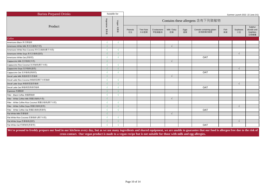| <b>Barista Prepared Drinks</b>                 |            | Suitable for | Summer Launch 2022 -22 June (V1) |                          |                      |                    |            |                                      |            |                |                                             |
|------------------------------------------------|------------|--------------|----------------------------------|--------------------------|----------------------|--------------------|------------|--------------------------------------|------------|----------------|---------------------------------------------|
|                                                | Vegetarian | Vegan        |                                  |                          |                      |                    |            | Contains these allergens 含有下列致敏物     |            |                |                                             |
| Product                                        | 素食者        | 純素<br>屾      | Peanuts<br>花生                    | <b>Tree Nuts</b><br>木本堅果 | Crustaceans<br>甲殼類動物 | Milk / Dairy<br>奶類 | Eggs<br>蛋類 | Cereals containing gluten<br>含有麩質的穀類 | Fish<br>魚類 | Soybeans<br>大豆 | Sulphur<br>dioxide and<br>Sulphites<br>亞硫酸鹽 |
| Coffee                                         |            |              |                                  |                          |                      |                    |            |                                      |            |                |                                             |
| Americano Black 美式黑咖啡                          |            |              |                                  |                          |                      |                    |            |                                      |            |                |                                             |
| Americano White Milk 美式白咖啡(牛奶)                 |            |              |                                  |                          |                      | $\sqrt{ }$         |            |                                      |            |                |                                             |
| Americano White Rice Coconut 美式白咖啡(椰子米奶)       |            | $\sqrt{ }$   |                                  |                          |                      |                    |            |                                      |            |                |                                             |
| Americano White Soya 美式白咖啡(荳奶)                 |            | $\sqrt{ }$   |                                  |                          |                      |                    |            |                                      |            | $\sqrt{ }$     |                                             |
| Americano White Oat (燕麥奶)                      |            | $\sqrt{ }$   |                                  |                          |                      |                    |            | OAT                                  |            |                |                                             |
| Cappuccino Milk 泡沫咖啡(牛奶)                       |            |              |                                  |                          |                      | $\sqrt{ }$         |            |                                      |            |                |                                             |
| Cappuccino Rice Coconut 泡沫咖啡(椰子米奶)             |            |              |                                  |                          |                      |                    |            |                                      |            |                |                                             |
| Cappuccino Soya 泡沫咖啡(荳奶)                       |            | $\sqrt{ }$   |                                  |                          |                      |                    |            |                                      |            | $\sqrt{ }$     |                                             |
| Cappuccino Oat 泡沫咖啡(燕麥奶)                       |            |              |                                  |                          |                      |                    |            | OAT                                  |            |                |                                             |
| Decaf Latte Milk 無咖啡因牛奶咖啡                      |            |              |                                  |                          |                      | $\sqrt{ }$         |            |                                      |            |                |                                             |
| Decaf Latte Rice Coconut 無咖啡因椰子米奶咖啡            |            |              |                                  |                          |                      |                    |            |                                      |            |                |                                             |
| Decaf Latte Soya 無咖啡因荳奶咖啡                      |            | $\sqrt{ }$   |                                  |                          |                      |                    |            |                                      |            | $\sqrt{ }$     |                                             |
| Decaf Latte Oat 無咖啡因燕麥奶咖啡                      |            | ٦I           |                                  |                          |                      |                    |            | OAT                                  |            |                |                                             |
| Espresso 特濃咖啡                                  |            | $\sqrt{ }$   |                                  |                          |                      |                    |            |                                      |            |                |                                             |
| <b>Filter - Black Coffee 蒸餾黑咖啡</b>             |            |              |                                  |                          |                      |                    |            |                                      |            |                |                                             |
| Filter - White Coffee Milk 蒸餾白咖啡(牛奶)           |            |              |                                  |                          |                      | $\sqrt{ }$         |            |                                      |            |                |                                             |
| Filter - White Coffee Rice Coconut 蒸餾白咖啡(椰子米奶) |            | $\sqrt{ }$   |                                  |                          |                      |                    |            |                                      |            |                |                                             |
| Filter - White Coffee Soya 蒸餾白咖啡(荳奶)           |            | $\sqrt{ }$   |                                  |                          |                      |                    |            |                                      |            | $\sqrt{ }$     |                                             |
| Filter - White Coffee Oat 蒸餾白咖啡(燕麥奶)           |            | $\sqrt{ }$   |                                  |                          |                      |                    |            | OAT                                  |            |                |                                             |
| Flat White Milk 奶香咖啡                           |            |              |                                  |                          |                      | $\sqrt{ }$         |            |                                      |            |                |                                             |
| Flat White Rice Coconut 奶香咖啡 (椰子米奶)            |            |              |                                  |                          |                      |                    |            |                                      |            |                |                                             |
| Flat White Soya 奶香咖啡(荳奶)                       |            | $\sqrt{ }$   |                                  |                          |                      |                    |            |                                      |            | $\sqrt{ }$     |                                             |
| Flat White Oat 奶香咖啡(燕麥奶)                       |            |              |                                  |                          |                      |                    |            | OAT                                  |            |                |                                             |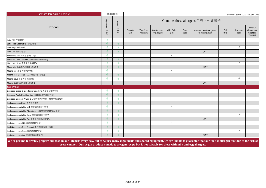| <b>Barista Prepared Drinks</b>                  |            | Suitable for | Summer Launch 2022 -22 June (V1) |                          |                      |                    |            |                                      |            |                |                                             |  |  |  |
|-------------------------------------------------|------------|--------------|----------------------------------|--------------------------|----------------------|--------------------|------------|--------------------------------------|------------|----------------|---------------------------------------------|--|--|--|
|                                                 | Vegetarian | Vegan        |                                  |                          |                      |                    |            | Contains these allergens 含有下列致敏物     |            |                |                                             |  |  |  |
| Product                                         | 素食者        | 純素<br>端      | Peanuts<br>花生                    | <b>Tree Nuts</b><br>木本堅果 | Crustaceans<br>甲殼類動物 | Milk / Dairy<br>奶類 | Eggs<br>蛋類 | Cereals containing gluten<br>含有麩質的穀類 | Fish<br>魚類 | Soybeans<br>大豆 | Sulphur<br>dioxide and<br>Sulphites<br>亞硫酸鹽 |  |  |  |
| Latte Milk 牛奶咖啡                                 |            |              |                                  |                          |                      | $\sqrt{ }$         |            |                                      |            |                |                                             |  |  |  |
| Latte Rice Coconut 椰子米奶咖啡                       |            |              |                                  |                          |                      |                    |            |                                      |            |                |                                             |  |  |  |
| Latte Soya 荳奶咖啡                                 |            |              |                                  |                          |                      |                    |            |                                      |            |                |                                             |  |  |  |
| Latte Oat 燕麥奶咖啡                                 |            | $\sqrt{ }$   |                                  |                          |                      |                    |            | <b>OAT</b>                           |            |                |                                             |  |  |  |
| Macchiato Milk 瑪奇朵咖啡(牛奶)                        | $\Delta$   |              |                                  |                          |                      | $\sqrt{ }$         |            |                                      |            |                |                                             |  |  |  |
| Macchiato Rice Coconut 瑪奇朵咖啡(椰子米奶)              |            |              |                                  |                          |                      |                    |            |                                      |            |                |                                             |  |  |  |
| Macchiato Soya 瑪奇朵咖啡(荳奶)                        | $\sqrt{ }$ |              |                                  |                          |                      |                    |            |                                      |            |                |                                             |  |  |  |
| Macchiato Oat 瑪奇朵咖啡 (燕麥奶)                       |            |              |                                  |                          |                      |                    |            | <b>OAT</b>                           |            |                |                                             |  |  |  |
| Mocha Milk 朱古力咖啡(牛奶)                            |            |              |                                  |                          |                      | $\sqrt{ }$         |            |                                      |            |                |                                             |  |  |  |
| Mocha Rice Coconut 朱古力咖啡(椰子米奶)                  | $\sqrt{ }$ | $\sqrt{ }$   |                                  |                          |                      |                    |            |                                      |            |                |                                             |  |  |  |
| Mocha Soya 朱古力咖啡(荳奶)                            |            |              |                                  |                          |                      |                    |            |                                      |            |                |                                             |  |  |  |
| Mocha Oat 朱古力咖啡 (燕麥奶)                           |            |              |                                  |                          |                      |                    |            | <b>OAT</b>                           |            |                |                                             |  |  |  |
| <b>Iced Drinks</b>                              |            |              |                                  |                          |                      |                    |            |                                      |            |                |                                             |  |  |  |
| Espresso Grape & Elderflower Sparkling 魔幻萄花咖啡特飲 |            |              |                                  |                          |                      |                    |            |                                      |            |                |                                             |  |  |  |
| Espresso Apple Fizz Sparkling 消暑蘋心靜汽咖啡特飲        |            |              |                                  |                          |                      |                    |            |                                      |            |                |                                             |  |  |  |
| Espresso Coconut Water 夏日咖啡椰青水特飲 / 椰青水特濃咖啡      |            |              |                                  |                          |                      |                    |            |                                      |            |                |                                             |  |  |  |
| Iced Americano Black 凍美式黑咖啡                     |            | $\sqrt{ }$   |                                  |                          |                      |                    |            |                                      |            |                |                                             |  |  |  |
| Iced Americano White Milk 凍美式白咖啡(牛奶)            | $\sqrt{ }$ |              |                                  |                          |                      | $\sqrt{ }$         |            |                                      |            |                |                                             |  |  |  |
| Iced Americano White Rice Coconut 凍美式白咖啡(椰子米奶)  |            | $\sqrt{ }$   |                                  |                          |                      |                    |            |                                      |            |                |                                             |  |  |  |
| Iced Americano White Soya 凍美式白咖啡(荳奶)            |            |              |                                  |                          |                      |                    |            |                                      |            | $\sqrt{ }$     |                                             |  |  |  |
| Iced Americano White Oat 凍美式白咖啡(燕麥奶)            | $\Delta$   | $\sqrt{ }$   |                                  |                          |                      |                    |            | OAT                                  |            |                |                                             |  |  |  |
| Iced Cappuccino Milk 凍泡沫咖啡(牛奶)                  | $\sim$     |              |                                  |                          |                      | $\sqrt{ }$         |            |                                      |            |                |                                             |  |  |  |
| Iced Cappuccino Rice Coconut 凍泡沫咖啡(椰子米奶)        |            | $\sqrt{ }$   |                                  |                          |                      |                    |            |                                      |            |                |                                             |  |  |  |
| Iced Cappuccino Soya 凍泡沫咖啡(荳奶)                  |            |              |                                  |                          |                      |                    |            |                                      |            | $\sqrt{ }$     |                                             |  |  |  |
| Iced Cappuccino Oat 凍泡沫咖啡(燕麥奶)                  |            | $\sqrt{ }$   |                                  |                          |                      |                    |            | OAT                                  |            |                |                                             |  |  |  |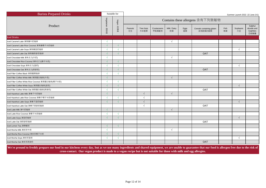| <b>Barista Prepared Drinks</b>                     |            | Suitable for<br>Summer Launch 2022 -22 June (V1) |               |                          |                      |                    |            |                                      |            |                |                                             |
|----------------------------------------------------|------------|--------------------------------------------------|---------------|--------------------------|----------------------|--------------------|------------|--------------------------------------|------------|----------------|---------------------------------------------|
|                                                    | Vegetarian | Vegan                                            |               |                          |                      |                    |            | Contains these allergens 含有下列致敏物     |            |                |                                             |
| Product                                            | 蒸食<br>mi   | 純素<br>咄                                          | Peanuts<br>花生 | <b>Tree Nuts</b><br>木本堅果 | Crustaceans<br>甲殼類動物 | Milk / Dairy<br>奶類 | Eggs<br>蛋類 | Cereals containing gluten<br>含有麩質的穀類 | Fish<br>魚類 | Soybeans<br>大豆 | Sulphur<br>dioxide and<br>Sulphites<br>亞硫酸鹽 |
| <b>Iced Drinks</b>                                 |            |                                                  |               |                          |                      |                    |            |                                      |            |                |                                             |
| Iced Caramel Latte 凍焦糖牛奶咖啡                         |            |                                                  |               |                          |                      | $\sqrt{ }$         |            |                                      |            |                |                                             |
| Iced Caramel Latte Rice Coconut 凍焦糖椰子米奶咖啡          | $\sqrt{ }$ | $\sqrt{ }$                                       |               |                          |                      |                    |            |                                      |            |                |                                             |
| Iced Caramel Latte Soya 凍焦糖荳奶咖啡                    |            | $\sqrt{ }$                                       |               |                          |                      |                    |            |                                      |            |                |                                             |
| Iced Caramel Latte Oat 凍焦糖燕麥奶咖啡                    |            | $\sqrt{ }$                                       |               |                          |                      |                    |            | <b>OAT</b>                           |            |                |                                             |
| Iced Chocolate Milk 凍朱古力(牛奶)                       |            |                                                  |               |                          |                      | $\sqrt{ }$         |            |                                      |            |                |                                             |
| Iced Chocolate Rice Coconut 凍朱古力(椰子米奶)             | $\sqrt{ }$ | $\sqrt{ }$                                       |               |                          |                      |                    |            |                                      |            |                |                                             |
| Iced Chocolate Soya 凍朱古力(荳奶)                       | $\sqrt{ }$ | $\sqrt{ }$                                       |               |                          |                      |                    |            |                                      |            | $\sqrt{ }$     |                                             |
| Iced Chocolate Oat 凍朱古力(燕麥奶)                       | $\sqrt{ }$ | $\sqrt{ }$                                       |               |                          |                      |                    |            | <b>OAT</b>                           |            |                |                                             |
| Iced Filter Coffee Black 凍蒸餾黑咖啡                    |            | $\sqrt{ }$                                       |               |                          |                      |                    |            |                                      |            |                |                                             |
| Iced Filter Coffee White Milk 凍蒸餾白咖啡(牛奶)           | $\sqrt{ }$ |                                                  |               |                          |                      | $\sqrt{ }$         |            |                                      |            |                |                                             |
| Iced Filter Coffee White Rice Coconut 凍蒸餾白咖啡(椰子米奶) | $\sqrt{ }$ | $\sqrt{ }$                                       |               |                          |                      |                    |            |                                      |            |                |                                             |
| Iced Filter Coffee White Soya 凍蒸餾白咖啡(荳奶)           | $\sqrt{ }$ | $\sqrt{ }$                                       |               |                          |                      |                    |            |                                      |            | $\sqrt{ }$     |                                             |
| Iced Filter Coffee White Oat 凍蒸餾白咖啡(燕麥奶)           |            | $\sqrt{ }$                                       |               |                          |                      |                    |            | OAT                                  |            |                |                                             |
| Iced Hazelnut Latte Milk 凍榛子牛奶咖啡                   | $\sqrt{ }$ |                                                  |               | $\sqrt{ }$               |                      | $\sqrt{ }$         |            |                                      |            |                |                                             |
| Iced Hazelnut Latte Rice Coconut 凍榛子椰子米奶咖啡         | $\sqrt{ }$ | $\sqrt{ }$                                       |               | $\sqrt{ }$               |                      |                    |            |                                      |            |                |                                             |
| Iced Hazelnut Latte Soya 凍榛子荳奶咖啡                   | $\sqrt{ }$ | $\sqrt{ }$                                       |               | $\sqrt{ }$               |                      |                    |            |                                      |            | $\sqrt{ }$     |                                             |
| Iced Hazelnut Latte Oat 凍榛子燕麥奶咖啡                   |            |                                                  |               | $\sqrt{ }$               |                      |                    |            | <b>OAT</b>                           |            |                |                                             |
| Iced Latte Milk 凍牛奶咖啡                              | $\sqrt{ }$ |                                                  |               |                          |                      | $\sqrt{ }$         |            |                                      |            |                |                                             |
| Iced Latte Rice Coconut 凍椰子米奶咖啡                    |            | $\sqrt{ }$                                       |               |                          |                      |                    |            |                                      |            |                |                                             |
| Iced Latte Soya 凍荳奶咖啡                              |            | $\sqrt{}$                                        |               |                          |                      |                    |            |                                      |            | $\sqrt{ }$     |                                             |
| Iced Latte Oat 凍燕麥奶咖啡                              |            |                                                  |               |                          |                      |                    |            | OAT                                  |            |                |                                             |
| Iced Lemon Tea 凍檸檬茶                                | $\sqrt{ }$ | $\sqrt{ }$                                       |               |                          |                      |                    |            |                                      |            |                |                                             |
| Iced Mocha Milk 凍抹茶牛奶                              | $\sqrt{ }$ |                                                  |               |                          |                      | $\sqrt{ }$         |            |                                      |            |                |                                             |
| Iced Mocha Rice Coconut 凍抹茶椰子米奶                    |            | $\sqrt{ }$                                       |               |                          |                      |                    |            |                                      |            |                |                                             |
| Iced Mocha Soya 凍抹茶荳奶                              |            | $\sqrt{ }$                                       |               |                          |                      |                    |            |                                      |            | $\sqrt{ }$     |                                             |
| Iced Mocha Oat 凍抹茶燕麥奶                              |            |                                                  |               |                          |                      |                    |            | <b>OAT</b>                           |            |                |                                             |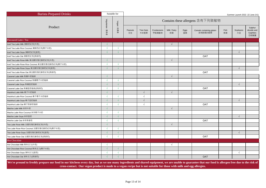| <b>Barista Prepared Drinks</b>                    |                   | Suitable for |                                  |                          |                      |                    |            |                                      |            | Summer Launch 2022 -22 June (V1) |                                             |
|---------------------------------------------------|-------------------|--------------|----------------------------------|--------------------------|----------------------|--------------------|------------|--------------------------------------|------------|----------------------------------|---------------------------------------------|
| Product                                           | Vegetarian<br>素食者 | Vegan<br>純素者 | Contains these allergens 含有下列致敏物 |                          |                      |                    |            |                                      |            |                                  |                                             |
|                                                   |                   |              | Peanuts<br>花生                    | <b>Tree Nuts</b><br>木本堅果 | Crustaceans<br>甲殼類動物 | Milk / Dairy<br>奶類 | Eggs<br>蛋類 | Cereals containing gluten<br>含有麩質的穀類 | Fish<br>魚類 | Soybeans<br>大豆                   | Sulphur<br>dioxide and<br>Sulphites<br>亞硫酸鹽 |
| Flavoured Latte / Tea                             |                   |              |                                  |                          |                      |                    |            |                                      |            |                                  |                                             |
| Iced Tea Latte Milk 凍鮮奶紅茶(牛奶)                     |                   |              |                                  |                          |                      | $\sqrt{}$          |            |                                      |            |                                  |                                             |
| Iced Tea Latte Rice Coconut 凍鮮奶紅茶(椰子米奶)           | $\sqrt{ }$        | $\sqrt{ }$   |                                  |                          |                      |                    |            |                                      |            |                                  |                                             |
| Iced Tea Latte Soya 凍鮮奶紅茶(荳奶)                     | $\sqrt{ }$        | $\sqrt{ }$   |                                  |                          |                      |                    |            |                                      |            | $\sqrt{ }$                       |                                             |
| Iced Tea Latte Oat 凍鮮奶紅茶(燕麥奶)                     |                   |              |                                  |                          |                      |                    |            | <b>OAT</b>                           |            |                                  |                                             |
| Iced Tea Latte Rose Milk 凍法國玫瑰花鮮奶紅茶(牛奶)           | $\sqrt{ }$        |              |                                  |                          |                      | $\sqrt{ }$         |            |                                      |            |                                  |                                             |
| Iced Tea Latte Rose Rice Coconut 凍法國玫瑰花鮮奶紅茶(椰子米奶) | $\sqrt{ }$        | $\sqrt{ }$   |                                  |                          |                      |                    |            |                                      |            |                                  |                                             |
| Iced Tea Latte Rose Soya 凍法國玫瑰花鮮奶紅茶(荳奶)           | $\sqrt{ }$        | $\sqrt{ }$   |                                  |                          |                      |                    |            |                                      |            | $\sqrt{ }$                       |                                             |
| Iced Tea Latte Rose Oat 凍法國玫瑰花鮮奶紅茶(燕麥奶)           |                   |              |                                  |                          |                      |                    |            | <b>OAT</b>                           |            |                                  |                                             |
| Caramel Latte Milk 焦糖牛奶咖啡                         | $\sqrt{ }$        |              |                                  |                          |                      | $\sqrt{ }$         |            |                                      |            |                                  |                                             |
| Caramel Latte Rice Coconut 焦糖椰子米奶咖啡               | $\Delta$          | $\sqrt{ }$   |                                  |                          |                      |                    |            |                                      |            |                                  |                                             |
| Caramel Latte Soya 焦糖荳奶咖啡                         | $\sqrt{ }$        | $\sqrt{ }$   |                                  |                          |                      |                    |            |                                      |            | $\sqrt{ }$                       |                                             |
| Caramel Latte Oat 焦糖荳奶咖啡(燕麥奶)                     | $\Delta$          | $\sqrt{ }$   |                                  |                          |                      |                    |            | <b>OAT</b>                           |            |                                  |                                             |
| Hazelnut Latte Milk 榛子牛奶咖啡                        | $\sqrt{ }$        |              |                                  | $\sqrt{ }$               |                      | $\sqrt{ }$         |            |                                      |            |                                  |                                             |
| Hazelnut Latte Rice Coconut 榛子椰子米奶咖啡              | $\Delta$          | $\sqrt{ }$   |                                  | $\sqrt{ }$               |                      |                    |            |                                      |            |                                  |                                             |
| Hazelnut Latte Soya 榛子荳奶咖啡                        | $\sqrt{ }$        | $\sqrt{ }$   |                                  | $\sqrt{ }$               |                      |                    |            |                                      |            | $\sqrt{ }$                       |                                             |
| Hazelnut Latte Oat 榛子燕麥奶咖啡                        | $\Delta$          | $\sqrt{ }$   |                                  | $\sqrt{ }$               |                      |                    |            | <b>OAT</b>                           |            |                                  |                                             |
| Matcha Latte Milk 抹茶牛奶                            | $\sqrt{ }$        |              |                                  |                          |                      | $\sqrt{ }$         |            |                                      |            |                                  |                                             |
| Matcha Latte Rice Coconut 抹茶椰子米奶                  | $\Delta$          | $\sqrt{ }$   |                                  |                          |                      |                    |            |                                      |            |                                  |                                             |
| Matcha Latte Soya 抹茶荳奶                            | $\sqrt{ }$        | $\sqrt{ }$   |                                  |                          |                      |                    |            |                                      |            | $\sqrt{ }$                       |                                             |
| Matcha Latte Oat 抹茶燕麥奶                            | $\Delta$          | $\sqrt{ }$   |                                  |                          |                      |                    |            | <b>OAT</b>                           |            |                                  |                                             |
| Tea Latte Rose Milk 法國玫瑰花鮮奶紅茶(牛奶)                 | $\sqrt{ }$        |              |                                  |                          |                      | $\sqrt{ }$         |            |                                      |            |                                  |                                             |
| Tea Latte Rose Rice Coconut 法國玫瑰花鮮奶紅茶(椰子米奶)       | $\Delta$          |              |                                  |                          |                      |                    |            |                                      |            |                                  |                                             |
| Tea Latte Rose Soya 法國玫瑰花鮮奶紅茶(荳奶)                 |                   | $\sqrt{ }$   |                                  |                          |                      |                    |            |                                      |            | $\sqrt{ }$                       |                                             |
| Tea Latte Rose Oat 法國玫瑰花鮮奶紅茶(燕麥奶)                 | $\Delta$          |              |                                  |                          |                      |                    |            | <b>OAT</b>                           |            |                                  |                                             |
| <b>Hot Chocolate</b>                              |                   |              |                                  |                          |                      |                    |            |                                      |            |                                  |                                             |
| Hot Chocolate Milk 熱朱古力(牛奶)                       |                   |              |                                  |                          |                      | $\sqrt{ }$         |            |                                      |            |                                  |                                             |
| Hot Chocolate Rice Coconut 熱朱古力(椰子米奶)             | $\sim$            | $\sqrt{ }$   |                                  |                          |                      |                    |            |                                      |            |                                  |                                             |
| Hot Chocolate Soya 凍朱古力(荳奶)                       |                   |              |                                  |                          |                      |                    |            |                                      |            | $\sqrt{ }$                       |                                             |
| Hot Chocolate Oat 凍朱古力(燕麥奶)                       |                   | $\sqrt{ }$   |                                  |                          |                      |                    |            | <b>OAT</b>                           |            |                                  |                                             |
|                                                   |                   |              |                                  |                          |                      |                    |            |                                      |            |                                  |                                             |